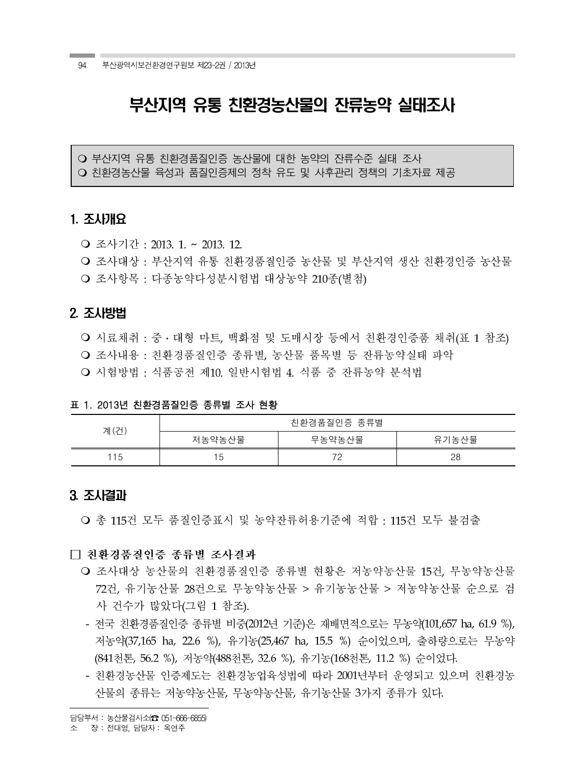# 부산지역 유통 친환경농산물의 잔류농약 실태조사

○ 부산지역 유통 친환경품질인증 농산물에 대한 농약의 잔류수준 실태 조사 ○ 친환경농산물 육성과 품질인증제의 정착 유도 및 사후관리 정책의 기초자료 제공

## 1. 조사개요†

- 조사기간 : 2013. 1. ~ 2013. 12.
- 조사대상 : 부산지역 유통 친환경품질인증 농산물 및 부산지역 생산 친환경인증 농산물 ○ 조사항목 : 다종농약다성분시험법 대상농약 210종(별첨)

## 2. 조사방법

○ 시료채취 : 중 · 대형 마트, 백화점 및 도매시장 등에서 친환경인증품 채취(표 1 참조) ○ 조사내용 : 친환경품질인증 종류별. 농사물 품목별 등 잔류농약실태 파악 ○ 시험방법 : 식품공전 제10. 일반시험법 4. 식품 중 잔류농약 분석법

#### 표 1. 2013년 친환경품질인증 종류별 조사 현황

| 계(건) | 친환경품질인증 종류별    |        |       |  |
|------|----------------|--------|-------|--|
|      | 저농약농산물         | 무농약농산물 | 유기농산물 |  |
| 115  | $\overline{a}$ | 70     | 28    |  |

## 3. 조사결과

○ 총 115건 모두 품질인증표시 및 농약잔류허용기준에 적합 : 115건 모두 불검출

#### □ 친환경품질인증 종류별 조사결과

- 조사대상 농사물의 친화경품질인증 종류별 현황은 저농약농산물 15건, 무농약농산물 72건, 유기농산물 28건으로 무농약농산물 > 유기농농산물 > 저농약농산물 순으로 검 사 건수가 많았다(그림 1 참조).
- 전국 친환경품질인증 종류별 비중(2012년 기준)은 재배면적으로는 무농약(101,657 ha, 61.9 %), 저농약(37,165 ha, 22.6 %), 유기농(25,467 ha, 15.5 %) 순이었으며, 출하량으로는 무농약 (841천톤, 56.2 %), 저농약(488천톤, 32.6 %), 유기농(168천톤, 11.2 %) 순이었다.
- 친환경농산물 인증제도는 친환경농업육성법에 따라 2001년부터 운영되고 있으며 친환경농 산물의 종류는 저농약농산물, 무농약농산물, 유기농산물 3가지 종류가 있다.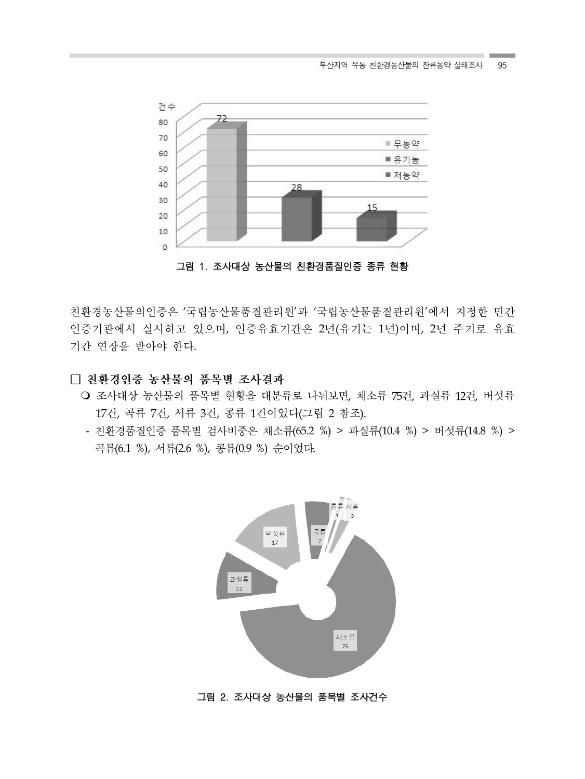

그림 1. 조사대상 농산물의 친환경품질인증 종류 현황

친환경농산물의인증은 '국립농산물품질관리원'과 '국립농산물품질관리원'에서 지정한 민간 인증기관에서 실시하고 있으며, 인증유효기간은 2년(유기는 1년)이며, 2년 주기로 유효 기간 연장을 받아야 한다.

## □ 친환경인증 농산물의 품목별 조사결과

- 조사대상 농산물의 품목별 현황을 대분류로 나눠보면, 채소류 75건, 과실류 12건, 버섯류 17건, 곡류 7건, 서류 3건, 콩류 1건이었다(그림 2 참조).
- 친환경품질인증 품목별 검사비중은 채소류(65.2 %) > 과실류(10.4 %) > 버섯류(14.8 %) > 곡류(6.1 %), 서류(2.6 %), 콩류(0.9 %) 순이었다.



그림 2. 조사대상 농산물의 품목별 조사건수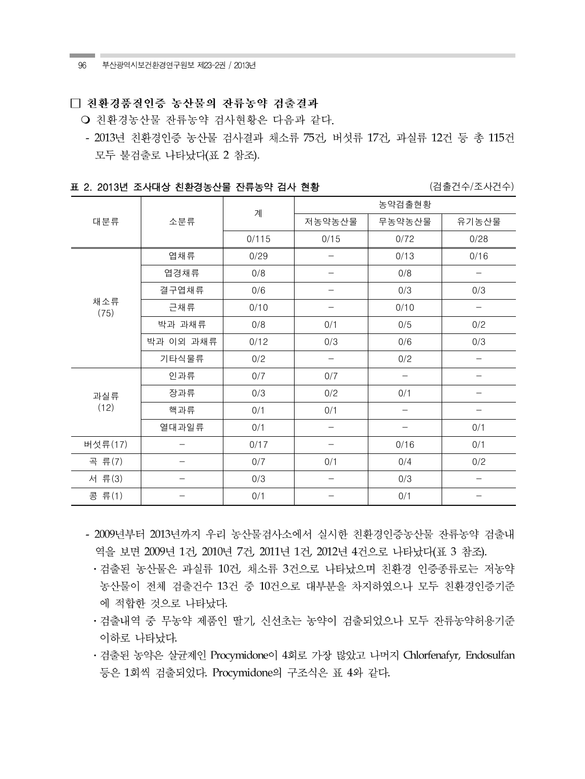96 부산광역시보건환경연구원보 제23-2권 / 2013년

## □ 친환경품질인증 농산물의 잔류농약 검출결과

○ 친환경농산물 잔류농약 검사현황은 다음과 같다.

- 2013년 친환경인증 농산물 검사결과 채소류 75건, 버섯류 17건, 과실류 12건 등 총 115건 모두 불검출로 나타났다(표 2 참조).

표 2. 2013년 조사대상 친환경농산물 잔류농약 검사 현황 ٢٠٠٠ ٢٠٠٠ (검출건수/조사건수)

|             |           | 계     | 농약검출현황                   |        |                          |  |
|-------------|-----------|-------|--------------------------|--------|--------------------------|--|
| 대분류         | 소분류       |       | 저농약농산물                   | 무농약농산물 | 유기농산물                    |  |
|             |           | 0/115 | 0/15                     | 0/72   | 0/28                     |  |
|             | 엽채류       | 0/29  |                          | 0/13   | 0/16                     |  |
|             | 엽경채류      | 0/8   |                          | 0/8    | $\qquad \qquad -$        |  |
|             | 결구엽채류     | 0/6   |                          | 0/3    | 0/3                      |  |
| 채소류<br>(75) | 근채류       | 0/10  |                          | 0/10   |                          |  |
|             | 박과 과채류    | 0/8   | 0/1                      | 0/5    | 0/2                      |  |
|             | 박과 이외 과채류 | 0/12  | 0/3                      | 0/6    | 0/3                      |  |
|             | 기타식물류     | 0/2   |                          | 0/2    |                          |  |
| 과실류<br>(12) | 인과류       | 0/7   | 0/7                      |        |                          |  |
|             | 장과류       | 0/3   | 0/2                      | 0/1    |                          |  |
|             | 핵과류       | 0/1   | 0/1                      |        |                          |  |
|             | 열대과일류     | 0/1   |                          |        | 0/1                      |  |
| 버섯류(17)     |           | 0/17  |                          | 0/16   | 0/1                      |  |
| 곡류(7)       |           | 0/7   | 0/1                      | 0/4    | 0/2                      |  |
| 서류(3)       |           | 0/3   | $\overline{\phantom{0}}$ | 0/3    | $\overline{\phantom{0}}$ |  |
| 콩 류(1)      |           | 0/1   |                          | 0/1    |                          |  |

- 2009년부터 2013년까지 우리 농산물검사소에서 실시한 친환경인증농산물 잔류농약 검출내 역을 보면 2009년 1건, 2010년 7건, 2011년 1건, 2012년 4건으로 나타났다(표 3 참조).
	- ·검출된 농산물은 과실류 10건, 채소류 3건으로 나타났으며 친환경 인증종류로는 저농약 농산물이 전체 검출건수 13건 중 10건으로 대부분을 차지하였으나 모두 친환경인증기준 에 적합한 것으로 나타났다.
	- 검출내역 중 무농약 제품인 딸기, 신선초는 농약이 검출되었으나 모두 잔류농약허용기준 이하로 나타났다.
	- 검출된 농약은 살균제인 Procymidone이 4회로 가장 많았고 나머지 Chlorfenafyr, Endosulfan 등은 1회씩 검출되었다. Procymidone의 구조식은 표 4와 같다.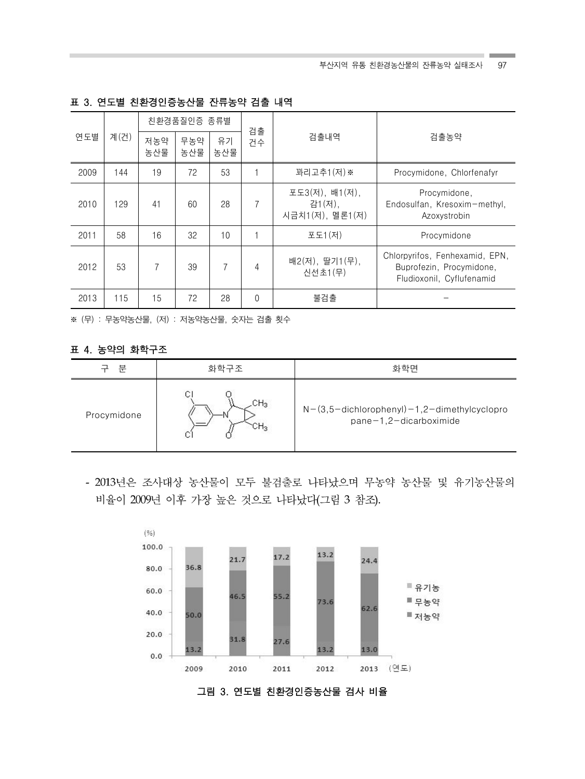| 계(건)<br>연도별 | 친환경품질인증 종류별 |            | 검출        |    |          |                                             |                                                                                         |
|-------------|-------------|------------|-----------|----|----------|---------------------------------------------|-----------------------------------------------------------------------------------------|
|             | 저농약<br>농산물  | 무농약<br>농산물 | 유기<br>농산물 | 건수 | 검출내역     | 검출농약                                        |                                                                                         |
| 2009        | 144         | 19         | 72        | 53 |          | 꽈리고추1 (저) ※                                 | Procymidone, Chlorfenafyr                                                               |
| 2010        | 129         | 41         | 60        | 28 | 7        | 포도3(저), 배1(저),<br>감1(저),<br>시금치1(저), 멜론1(저) | Procymidone,<br>Endosulfan, Kresoxim-methyl,<br>Azoxystrobin                            |
| 2011        | 58          | 16         | 32        | 10 |          | 포도1(저)                                      | Procymidone                                                                             |
| 2012        | 53          | 7          | 39        | 7  | 4        | 배2(저), 딸기1(무),<br>신선초1(무)                   | Chlorpyrifos, Fenhexamid, EPN,<br>Buprofezin, Procymidone,<br>Fludioxonil, Cyflufenamid |
| 2013        | 115         | 15         | 72        | 28 | $\Omega$ | 불검출                                         |                                                                                         |

표 3. 연도별 친환경인증농산물 잔류농약 검출 내역

※ (무) : 무농약농산물, (저) : 저농약농산물, 숫자는 검출 횟수

## 표 4. 농약의 화학구조

| 부           | 화학면<br>화학구조 |                                                                         |
|-------------|-------------|-------------------------------------------------------------------------|
| Procymidone | CH3         | $N-(3,5-dichlorophenyl)-1,2-dimethylcyclopro$<br>pane-1,2-dicarboximide |

- 2013년은 조사대상 농산물이 모두 불검출로 나타났으며 무농약 농산물 및 유기농산물의 비율이 2009년 이후 가장 높은 것으로 나타났다(그림 3 참조).



그림 3. 연도별 친환경인증농산물 검사 비율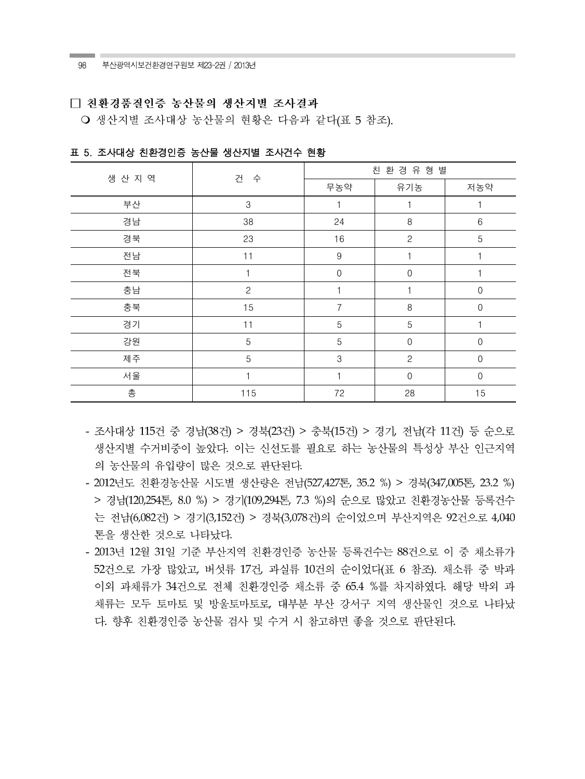#### □ 친화경품질인증 농산물의 생산지별 조사결과

○ 생산지별 조사대상 농산물의 현황은 다음과 같다(표 5 참조).

| 생산 지역 |              | 친 환 경 유 형 별      |                |             |  |
|-------|--------------|------------------|----------------|-------------|--|
|       | 건<br>수       | 무농약              | 유기농            | 저농약         |  |
| 부산    | $\,3$        |                  |                |             |  |
| 경남    | 38           | 24               | 8              | 6           |  |
| 경북    | 23           | 16               | $\overline{c}$ | 5           |  |
| 전남    | 11           | $\boldsymbol{9}$ |                |             |  |
| 전북    |              | $\Omega$         | $\Omega$       |             |  |
| 충남    | $\mathbf{2}$ |                  |                | $\Omega$    |  |
| 충북    | 15           | 7                | $\,8\,$        | $\mathbf 0$ |  |
| 경기    | 11           | 5                | 5              |             |  |
| 강원    | 5            | 5                | $\Omega$       | $\Omega$    |  |
| 제주    | 5            | 3                | $\mathbf{2}$   | $\Omega$    |  |
| 서울    |              |                  | $\mathbf 0$    | $\mathbf 0$ |  |
| 총     | 115          | 72               | 28             | 15          |  |

표 5. 조사대상 친환경인증 농산물 생산지별 조사건수 현황

- 조사대상 115건 중 경남(38건) > 경북(23건) > 충북(15건) > 경기, 전남(각 11건) 등 순으로 생산지별 수거비중이 높았다. 이는 신선도를 필요로 하는 농산물의 특성상 부산 인근지역 의 농산물의 유입량이 많은 것으로 판단된다.
- 2012년도 친환경농산물 시도별 생산량은 전남(527,427톤, 35.2 %) > 경북(347,005톤, 23.2 %) > 경남(120,254톤, 8.0 %) > 경기(109,294톤, 7.3 %)의 순으로 많았고 친환경농산물 등록건수 는 전남(6,082건) > 경기(3,152건) > 경북(3,078건)의 순이었으며 부산지역은 92건으로 4,040 톤을 생산한 것으로 나타났다.
- 2013년 12월 31일 기준 부산지역 친환경인증 농산물 등록건수는 88건으로 이 중 채소류가 52건으로 가장 많았고, 버섯류 17건, 과실류 10건의 순이었다(표 6 참조). 채소류 중 박과 이외 과채류가 34건으로 전체 친환경인증 채소류 중 65.4 %를 차지하였다. 해당 박외 과 채류는 모두 토마토 및 방울토마토로, 대부분 부산 강서구 지역 생산물인 것으로 나타났 다. 향후 친환경인증 농산물 검사 및 수거 시 참고하면 좋을 것으로 파단된다.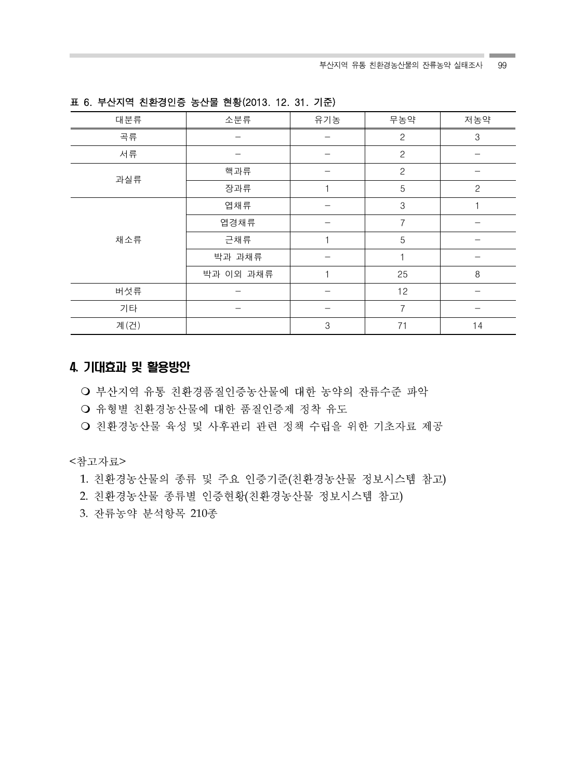| 대분류  | 소분류       | 유기농 | 무농약            | 저농약          |
|------|-----------|-----|----------------|--------------|
| 곡류   |           |     | $\mathbf{2}$   | 3            |
| 서류   |           |     | $\overline{c}$ |              |
|      | 핵과류       |     | $\overline{c}$ |              |
| 과실류  | 장과류       |     | 5              | $\mathbf{2}$ |
|      | 엽채류       |     | $\,3$          |              |
|      | 엽경채류      |     | $\overline{7}$ |              |
| 채소류  | 근채류       |     | 5              |              |
|      | 박과 과채류    |     |                |              |
|      | 박과 이외 과채류 |     | 25             | 8            |
| 버섯류  |           |     | 12             |              |
| 기타   | -         |     | 7              |              |
| 계(건) |           | 3   | 71             | 14           |

표 6. 부산지역 친환경인증 농산물 현황(2013. 12. 31. 기준)

# 4. 기대효과 및 활용방안

○ 부산지역 유통 친환경품질인증농산물에 대한 농약의 잔류수준 파악

○ 유형별 친환경농산물에 대한 품질인증제 정착 유도

○ 친환경농산물 육성 및 사후관리 관련 정책 수립을 위한 기초자료 제공

<참고자료>

1. 친환경농산물의 종류 및 주요 인증기준(친환경농산물 정보시스템 참고)

2. 친환경농산물 종류별 인증현황(친환경농산물 정보시스템 참고)

3. 잔류농약 분석항목 210종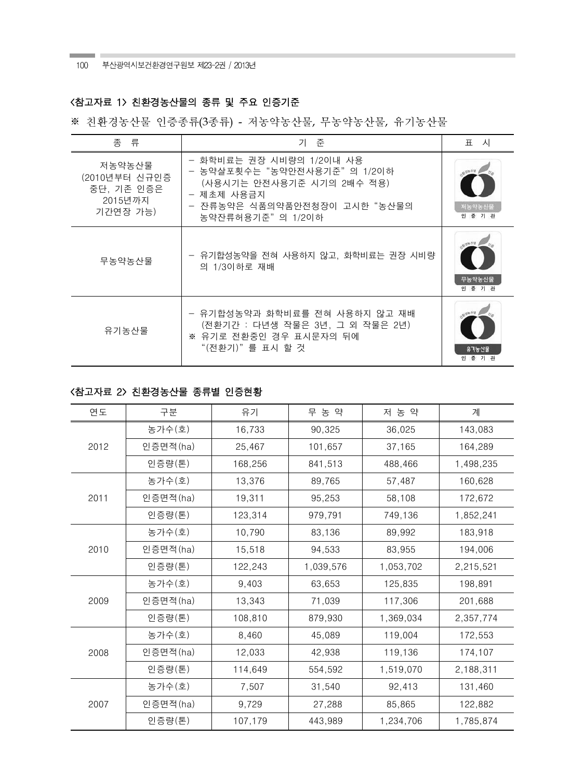100 부산광역시보건환경연구원보 제23-2권 / 2013년

## <참고자료 1> 친환경농산물의 종류 및 주요 인증기준

※ 친환경농산물 인증종류(3종류) - 저농약농산물, 무농약농산물, 유기농산물

| 종<br>- 류                                                     | 기 준                                                                                                                                                   | 시<br>丑                       |
|--------------------------------------------------------------|-------------------------------------------------------------------------------------------------------------------------------------------------------|------------------------------|
| 저농약농산물<br>(2010년부터 신규인증<br>중단, 기존 인증은<br>2015년까지<br>기간연장 가능) | - 화학비료는 권장 시비량의 1/2이내 사용<br>- 농약살포횟수는"농약안전사용기준"의 1/2이하<br>(사용시기는 안전사용기준 시기의 2배수 적용)<br>- 제초제 사용금지<br>- 잔류농약은 식품의약품안전청장이 고시한 "농산물의<br>농약잔류허용기준"의 1/2이하 | 저농약농산물<br>인 증 기 관            |
| 무농약농산물                                                       | - 유기합성농약을 전혀 사용하지 않고, 화학비료는 권장 시비량<br>의 1/3이하로 재배                                                                                                     | $=$ $v_a$<br>무농약농산물<br>인증 기관 |
| 유기농산물                                                        | - 유기합성농약과 화학비료를 전혀 사용하지 않고 재배<br>(전환기간 : 다년생 작물은 3년, 그 외 작물은 2년)<br>※ 유기로 전환중인 경우 표시문자의 뒤에<br>"(전환기)"를 표시 할 것                                         | 유기농사물<br>인 증 기 관             |

# <참고자료 2> 친환경농산물 종류별 인증현황

| 연도   | 구분       | 유기      | 무 농 약     | 저 농 약     | 계         |
|------|----------|---------|-----------|-----------|-----------|
| 2012 | 농가수(호)   | 16,733  | 90,325    | 36,025    | 143,083   |
|      | 인증면적(ha) | 25,467  | 101,657   | 37,165    | 164,289   |
|      | 인증량(톤)   | 168,256 | 841,513   | 488,466   | 1,498,235 |
|      | 농가수(호)   | 13,376  | 89,765    | 57,487    | 160,628   |
| 2011 | 인증면적(ha) | 19,311  | 95,253    | 58,108    | 172,672   |
|      | 인증량(톤)   | 123,314 | 979,791   | 749,136   | 1,852,241 |
|      | 농가수(호)   | 10,790  | 83,136    | 89,992    | 183,918   |
| 2010 | 인증면적(ha) | 15,518  | 94,533    | 83,955    | 194,006   |
|      | 인증량(톤)   | 122,243 | 1,039,576 | 1,053,702 | 2,215,521 |
|      | 농가수(호)   | 9,403   | 63,653    | 125,835   | 198,891   |
| 2009 | 인증면적(ha) | 13,343  | 71,039    | 117,306   | 201,688   |
|      | 인증량(톤)   | 108,810 | 879,930   | 1,369,034 | 2,357,774 |
| 2008 | 농가수(호)   | 8,460   | 45,089    | 119,004   | 172,553   |
|      | 인증면적(ha) | 12,033  | 42,938    | 119,136   | 174,107   |
|      | 인증량(톤)   | 114,649 | 554,592   | 1,519,070 | 2,188,311 |
| 2007 | 농가수(호)   | 7,507   | 31,540    | 92,413    | 131,460   |
|      | 인증면적(ha) | 9,729   | 27,288    | 85,865    | 122,882   |
|      | 인증량(톤)   | 107,179 | 443,989   | 1,234,706 | 1,785,874 |